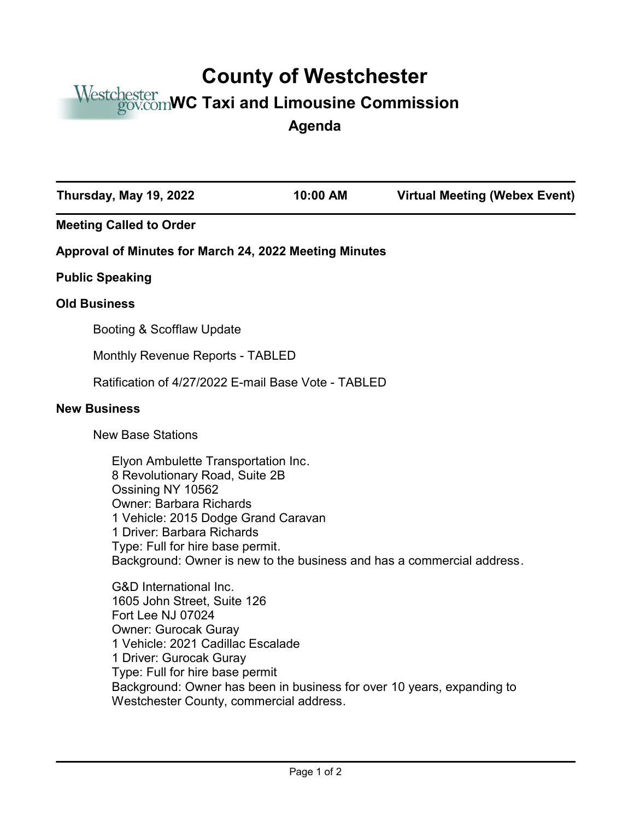## **County of Westchester**

## Westchester<br>*gov.com*WC Taxi and Limousine Commission

**Agenda**

| Thursday, May 19, 2022                                                                                                                                                                                                                                                                                                                       | 10:00 AM                                                                                                                                                                                                                                                 | <b>Virtual Meeting (Webex Event)</b> |  |
|----------------------------------------------------------------------------------------------------------------------------------------------------------------------------------------------------------------------------------------------------------------------------------------------------------------------------------------------|----------------------------------------------------------------------------------------------------------------------------------------------------------------------------------------------------------------------------------------------------------|--------------------------------------|--|
| <b>Meeting Called to Order</b>                                                                                                                                                                                                                                                                                                               |                                                                                                                                                                                                                                                          |                                      |  |
| Approval of Minutes for March 24, 2022 Meeting Minutes                                                                                                                                                                                                                                                                                       |                                                                                                                                                                                                                                                          |                                      |  |
| <b>Public Speaking</b>                                                                                                                                                                                                                                                                                                                       |                                                                                                                                                                                                                                                          |                                      |  |
| <b>Old Business</b>                                                                                                                                                                                                                                                                                                                          |                                                                                                                                                                                                                                                          |                                      |  |
| Booting & Scofflaw Update                                                                                                                                                                                                                                                                                                                    |                                                                                                                                                                                                                                                          |                                      |  |
| Monthly Revenue Reports - TABLED                                                                                                                                                                                                                                                                                                             |                                                                                                                                                                                                                                                          |                                      |  |
| Ratification of 4/27/2022 E-mail Base Vote - TABLED                                                                                                                                                                                                                                                                                          |                                                                                                                                                                                                                                                          |                                      |  |
| <b>New Business</b>                                                                                                                                                                                                                                                                                                                          |                                                                                                                                                                                                                                                          |                                      |  |
| <b>New Base Stations</b>                                                                                                                                                                                                                                                                                                                     |                                                                                                                                                                                                                                                          |                                      |  |
| Ossining NY 10562<br><b>Owner: Barbara Richards</b>                                                                                                                                                                                                                                                                                          | Elyon Ambulette Transportation Inc.<br>8 Revolutionary Road, Suite 2B<br>1 Vehicle: 2015 Dodge Grand Caravan<br>1 Driver: Barbara Richards<br>Type: Full for hire base permit.<br>Background: Owner is new to the business and has a commercial address. |                                      |  |
| <b>G&amp;D</b> International Inc.<br>1605 John Street, Suite 126<br>Fort Lee NJ 07024<br><b>Owner: Gurocak Guray</b><br>1 Vehicle: 2021 Cadillac Escalade<br>1 Driver: Gurocak Guray<br>Type: Full for hire base permit<br>Background: Owner has been in business for over 10 years, expanding to<br>Westchester County, commercial address. |                                                                                                                                                                                                                                                          |                                      |  |